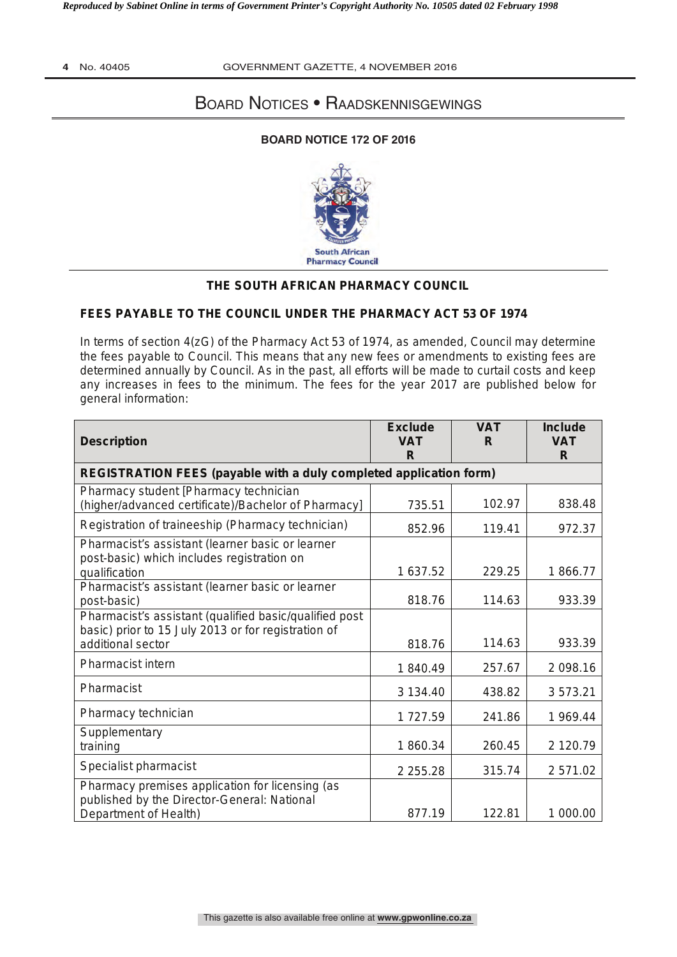### **4** No. 40405 GOVERNMENT GAZETTE, 4 NOVEMBER 2016

# Board Notices • Raadskennisgewings

## **BOARD NOTICE 172 OF 2016**



# **THE SOUTH AFRICAN PHARMACY COUNCIL**

## **FEES PAYABLE TO THE COUNCIL UNDER THE PHARMACY ACT 53 OF 1974**

In terms of section 4(zG) of the Pharmacy Act 53 of 1974, as amended, Council may determine the fees payable to Council. This means that any new fees or amendments to existing fees are determined annually by Council. As in the past, all efforts will be made to curtail costs and keep any increases in fees to the minimum. The fees for the year 2017 are published below for general information:

| <b>Description</b>                                                                                                                 | <b>Exclude</b><br><b>VAT</b><br>R | <b>VAT</b><br>R | <b>Include</b><br><b>VAT</b><br>R |
|------------------------------------------------------------------------------------------------------------------------------------|-----------------------------------|-----------------|-----------------------------------|
| REGISTRATION FEES (payable with a duly completed application form)                                                                 |                                   |                 |                                   |
| Pharmacy student [Pharmacy technician<br>(higher/advanced certificate)/Bachelor of Pharmacy]                                       | 735.51                            | 102.97          | 838.48                            |
| Registration of traineeship (Pharmacy technician)                                                                                  | 852.96                            | 119.41          | 972.37                            |
| Pharmacist's assistant (learner basic or learner<br>post-basic) which includes registration on<br>qualification                    | 1 637.52                          | 229.25          | 1866.77                           |
| Pharmacist's assistant (learner basic or learner<br>post-basic)                                                                    | 818.76                            | 114.63          | 933.39                            |
| Pharmacist's assistant (qualified basic/qualified post<br>basic) prior to 15 July 2013 or for registration of<br>additional sector | 818.76                            | 114.63          | 933.39                            |
| <b>Pharmacist intern</b>                                                                                                           | 1840.49                           | 257.67          | 2 098.16                          |
| Pharmacist                                                                                                                         | 3 134.40                          | 438.82          | 3573.21                           |
| Pharmacy technician                                                                                                                | 1727.59                           | 241.86          | 1 969.44                          |
| Supplementary<br>training                                                                                                          | 1860.34                           | 260.45          | 2 120.79                          |
| Specialist pharmacist                                                                                                              | 2 2 5 5.28                        | 315.74          | 2 571.02                          |
| Pharmacy premises application for licensing (as<br>published by the Director-General: National<br>Department of Health)            | 877.19                            | 122.81          | 1 000.00                          |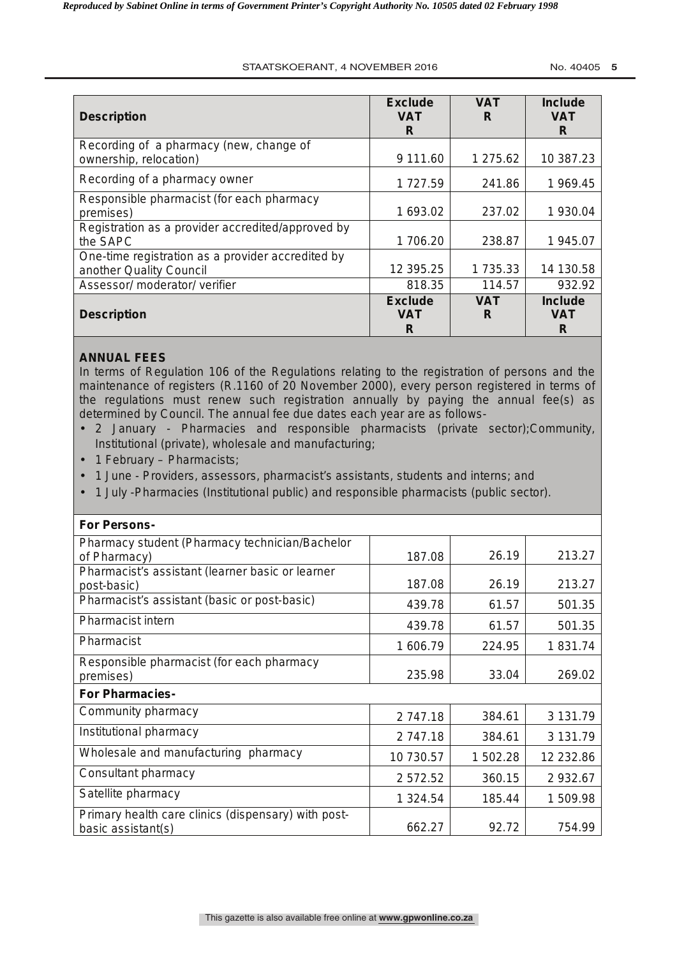### STAATSKOERANT, 4 NOVEMBER 2016 No. 40405 **5**

| <b>Description</b>                                                           | <b>Exclude</b><br><b>VAT</b><br>R | <b>VAT</b><br>R | <b>Include</b><br><b>VAT</b><br>R |
|------------------------------------------------------------------------------|-----------------------------------|-----------------|-----------------------------------|
| Recording of a pharmacy (new, change of<br>ownership, relocation)            | 9 111.60                          | 1 275.62        | 10 387.23                         |
| Recording of a pharmacy owner                                                | 1727.59                           | 241.86          | 1 969.45                          |
| Responsible pharmacist (for each pharmacy<br>premises)                       | 1 693.02                          | 237.02          | 1 930.04                          |
| Registration as a provider accredited/approved by<br>the SAPC                | 1706.20                           | 238.87          | 1 945.07                          |
| One-time registration as a provider accredited by<br>another Quality Council | 12 395.25                         | 1 735.33        | 14 130.58                         |
| Assessor/ moderator/ verifier                                                | 818.35                            | 114.57          | 932.92                            |
| <b>Description</b>                                                           | <b>Exclude</b><br><b>VAT</b><br>R | <b>VAT</b><br>R | <b>Include</b><br><b>VAT</b><br>R |

## **ANNUAL FEES**

In terms of Regulation 106 of the *Regulations relating to the registration of persons and the maintenance of registers* (R.1160 of 20 November 2000), every person registered in terms of the regulations must renew such registration annually by paying the annual fee(s) as determined by Council. The annual fee due dates each year are as follows-

- 2 January Pharmacies and responsible pharmacists (private sector);Community, Institutional (private), wholesale and manufacturing;
- 1 February Pharmacists;
- 1 June Providers, assessors, pharmacist's assistants, students and interns; and
- 1 July -Pharmacies (Institutional public) and responsible pharmacists (public sector).

| For Persons-                                                              |           |          |           |
|---------------------------------------------------------------------------|-----------|----------|-----------|
| Pharmacy student (Pharmacy technician/Bachelor<br>of Pharmacy)            | 187.08    | 26.19    | 213.27    |
| Pharmacist's assistant (learner basic or learner<br>post-basic)           | 187.08    | 26.19    | 213.27    |
| Pharmacist's assistant (basic or post-basic)                              | 439.78    | 61.57    | 501.35    |
| <b>Pharmacist intern</b>                                                  | 439.78    | 61.57    | 501.35    |
| Pharmacist                                                                | 1 606.79  | 224.95   | 1831.74   |
| Responsible pharmacist (for each pharmacy<br>premises)                    | 235.98    | 33.04    | 269.02    |
| <b>For Pharmacies-</b>                                                    |           |          |           |
| Community pharmacy                                                        | 2 747.18  | 384.61   | 3 131.79  |
| Institutional pharmacy                                                    | 2 747.18  | 384.61   | 3 131.79  |
| Wholesale and manufacturing pharmacy                                      | 10 730.57 | 1 502.28 | 12 232.86 |
| Consultant pharmacy                                                       | 2 572.52  | 360.15   | 2 932.67  |
| Satellite pharmacy                                                        | 1 324.54  | 185.44   | 1 509.98  |
| Primary health care clinics (dispensary) with post-<br>basic assistant(s) | 662.27    | 92.72    | 754.99    |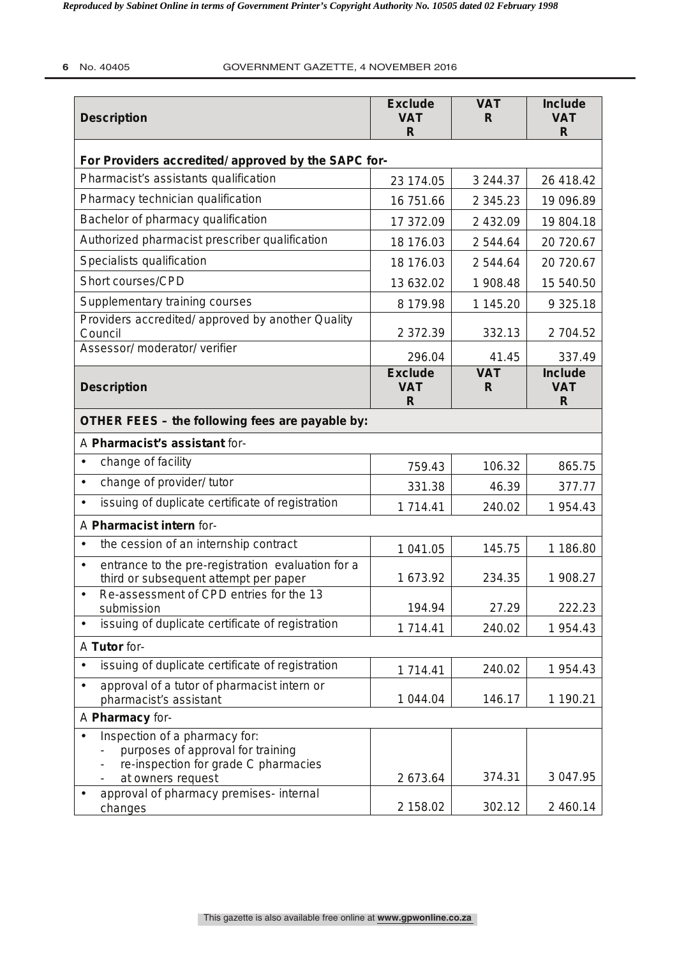| <b>Description</b>                                                                                         | <b>Exclude</b><br><b>VAT</b><br>R | <b>VAT</b><br>R | <b>Include</b><br><b>VAT</b><br>R |  |
|------------------------------------------------------------------------------------------------------------|-----------------------------------|-----------------|-----------------------------------|--|
| For Providers accredited/ approved by the SAPC for-                                                        |                                   |                 |                                   |  |
| Pharmacist's assistants qualification                                                                      | 23 174.05                         | 3 244.37        | 26 418.42                         |  |
| Pharmacy technician qualification                                                                          | 16 751.66                         | 2 3 4 5 . 2 3   | 19 096.89                         |  |
| Bachelor of pharmacy qualification                                                                         | 17 372.09                         | 2 432.09        | 19 804.18                         |  |
| Authorized pharmacist prescriber qualification                                                             | 18 176.03                         | 2 544.64        | 20 720.67                         |  |
| Specialists qualification                                                                                  | 18 176.03                         | 2 544.64        | 20 720.67                         |  |
| Short courses/CPD                                                                                          | 13 632.02                         | 1 908.48        | 15 540.50                         |  |
| Supplementary training courses                                                                             | 8 179.98                          | 1 145.20        | 9 3 2 5 . 18                      |  |
| Providers accredited/ approved by another Quality<br>Council                                               | 2 372.39                          | 332.13          | 2 704.52                          |  |
| Assessor/ moderator/ verifier                                                                              | 296.04                            | 41.45           | 337.49                            |  |
| <b>Description</b>                                                                                         | <b>Exclude</b><br><b>VAT</b><br>R | <b>VAT</b><br>R | <b>Include</b><br><b>VAT</b><br>R |  |
| OTHER FEES - the following fees are payable by:                                                            |                                   |                 |                                   |  |
| A Pharmacist's assistant for-                                                                              |                                   |                 |                                   |  |
| change of facility<br>$\bullet$                                                                            | 759.43                            | 106.32          | 865.75                            |  |
| change of provider/ tutor<br>$\bullet$                                                                     | 331.38                            | 46.39           | 377.77                            |  |
| issuing of duplicate certificate of registration<br>$\bullet$                                              | 1 714.41                          | 240.02          | 1 954.43                          |  |
| A Pharmacist intern for-                                                                                   |                                   |                 |                                   |  |
| the cession of an internship contract<br>$\bullet$                                                         | 1 041.05                          | 145.75          | 1 186.80                          |  |
| entrance to the pre-registration evaluation for a<br>$\bullet$<br>third or subsequent attempt per paper    | 1 673.92                          | 234.35          | 1 908.27                          |  |
| Re-assessment of CPD entries for the 13<br>$\bullet$<br>submission                                         | 194.94                            | 27.29           | 222.23                            |  |
| issuing of duplicate certificate of registration                                                           | 1 714.41                          | 240.02          | 1 954.43                          |  |
| A Tutor for-                                                                                               |                                   |                 |                                   |  |
| issuing of duplicate certificate of registration<br>$\bullet$                                              | 1 714.41                          | 240.02          | 1 954.43                          |  |
| approval of a tutor of pharmacist intern or<br>$\bullet$                                                   | 1 044.04                          | 146.17          | 1 190.21                          |  |
| pharmacist's assistant<br>A Pharmacy for-                                                                  |                                   |                 |                                   |  |
| Inspection of a pharmacy for:<br>purposes of approval for training<br>re-inspection for grade C pharmacies |                                   |                 |                                   |  |
| at owners request                                                                                          | 2 673.64                          | 374.31          | 3 047.95                          |  |
| approval of pharmacy premises- internal<br>$\bullet$<br>changes                                            | 2 158.02                          | 302.12          | 2 460.14                          |  |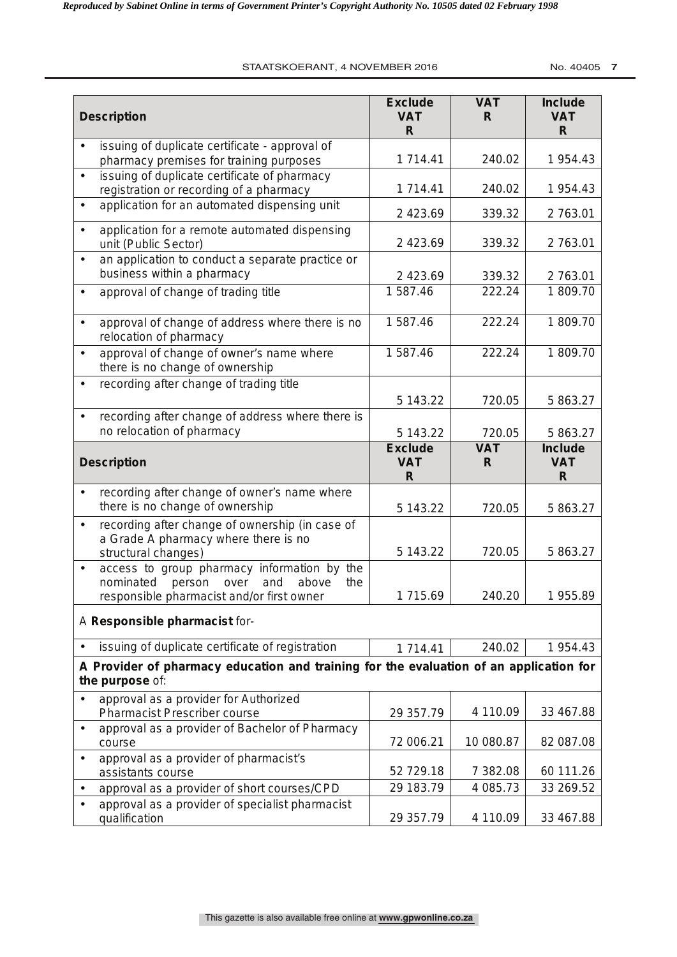#### STAATSKOERANT, 4 NOVEMBER 2016 **No. 40405 7**

|           | <b>Description</b>                                                                                             | <b>Exclude</b><br><b>VAT</b><br>R  | <b>VAT</b><br>R | <b>Include</b><br><b>VAT</b><br>R |
|-----------|----------------------------------------------------------------------------------------------------------------|------------------------------------|-----------------|-----------------------------------|
| $\bullet$ | issuing of duplicate certificate - approval of<br>pharmacy premises for training purposes                      | 1714.41                            | 240.02          | 1 954.43                          |
| $\bullet$ | issuing of duplicate certificate of pharmacy<br>registration or recording of a pharmacy                        | 1 714.41                           | 240.02          | 1 954.43                          |
| $\bullet$ | application for an automated dispensing unit                                                                   | 2 4 2 3 . 6 9                      | 339.32          | 2763.01                           |
| $\bullet$ | application for a remote automated dispensing<br>unit (Public Sector)                                          | 2 4 2 3 . 6 9                      | 339.32          | 2 763.01                          |
| $\bullet$ | an application to conduct a separate practice or<br>business within a pharmacy                                 | 2 423.69                           | 339.32          | 2763.01                           |
| $\bullet$ | approval of change of trading title                                                                            | 1 587.46                           | 222.24          | 1809.70                           |
| $\bullet$ | approval of change of address where there is no<br>relocation of pharmacy                                      | 1 587.46                           | 222.24          | 1809.70                           |
| $\bullet$ | approval of change of owner's name where<br>there is no change of ownership                                    | 1 587.46                           | 222.24          | 1809.70                           |
| $\bullet$ | recording after change of trading title                                                                        | 5 143.22                           | 720.05          | 5 863.27                          |
| $\bullet$ | recording after change of address where there is<br>no relocation of pharmacy                                  | 5 143.22                           | 720.05          | 5 863.27                          |
|           | <b>Description</b>                                                                                             | <b>Exclude</b><br><b>VAT</b><br>R. | <b>VAT</b><br>R | <b>Include</b><br><b>VAT</b><br>R |
|           | recording after change of owner's name where<br>there is no change of ownership                                | 5 143.22                           | 720.05          | 5 863.27                          |
| $\bullet$ | recording after change of ownership (in case of<br>a Grade A pharmacy where there is no<br>structural changes) | 5 143.22                           | 720.05          | 5 863.27                          |
| $\bullet$ | access to group pharmacy information by the<br>nominated<br>person<br>above<br>over<br>and<br>the              |                                    |                 |                                   |
|           | responsible pharmacist and/or first owner<br>A Responsible pharmacist for-                                     | 1715.69                            | 240.20          | 1955.89                           |
| $\bullet$ | issuing of duplicate certificate of registration                                                               | 1 714.41                           | 240.02          | 1 954.43                          |
|           | A Provider of pharmacy education and training for the evaluation of an application for<br>the purpose of:      |                                    |                 |                                   |
| $\bullet$ | approval as a provider for Authorized<br><b>Pharmacist Prescriber course</b>                                   | 29 357.79                          | 4 110.09        | 33 467.88                         |
| $\bullet$ | approval as a provider of Bachelor of Pharmacy<br>course                                                       | 72 006.21                          | 10 080.87       | 82 087.08                         |
| $\bullet$ | approval as a provider of pharmacist's<br>assistants course                                                    | 52 729.18                          | 7 382.08        | 60 111.26                         |
| $\bullet$ | approval as a provider of short courses/CPD                                                                    | 29 183.79                          | 4 085.73        | 33 269.52                         |
| $\bullet$ | approval as a provider of specialist pharmacist<br>qualification                                               | 29 357.79                          | 4 110.09        | 33 467.88                         |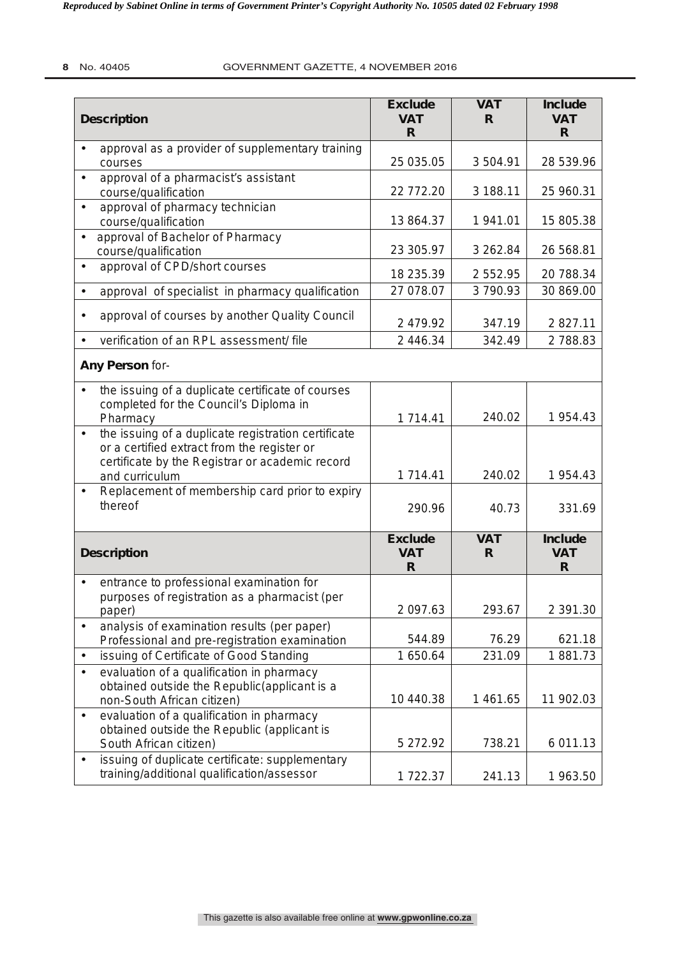| <b>Description</b>                                                                                                                                                                   | <b>Exclude</b><br><b>VAT</b><br>R           | <b>VAT</b><br>R. | <b>Include</b><br><b>VAT</b><br>R. |
|--------------------------------------------------------------------------------------------------------------------------------------------------------------------------------------|---------------------------------------------|------------------|------------------------------------|
| approval as a provider of supplementary training<br>courses                                                                                                                          | 25 035.05                                   | 3504.91          | 28 539.96                          |
| approval of a pharmacist's assistant<br>$\bullet$<br>course/qualification                                                                                                            | 22 772.20                                   | 3 188.11         | 25 960.31                          |
| approval of pharmacy technician<br>$\bullet$<br>course/qualification                                                                                                                 | 13 864.37                                   | 1941.01          | 15 805.38                          |
| approval of Bachelor of Pharmacy<br>course/qualification                                                                                                                             | 23 305.97                                   | 3 262.84         | 26 568.81                          |
| approval of CPD/short courses<br>$\bullet$                                                                                                                                           | 18 235.39                                   | 2 5 5 2 . 9 5    | 20 788.34                          |
| approval of specialist in pharmacy qualification                                                                                                                                     | 27 078.07                                   | 3790.93          | 30 869.00                          |
| approval of courses by another Quality Council<br>$\bullet$                                                                                                                          | 2 479.92                                    | 347.19           | 2 827.11                           |
| verification of an RPL assessment/file                                                                                                                                               | 2 446.34                                    | 342.49           | 2788.83                            |
| Any Person for-                                                                                                                                                                      |                                             |                  |                                    |
| the issuing of a duplicate certificate of courses<br>$\bullet$<br>completed for the Council's Diploma in<br>Pharmacy                                                                 | 1 714.41                                    | 240.02           | 1 954.43                           |
| the issuing of a duplicate registration certificate<br>$\bullet$<br>or a certified extract from the register or<br>certificate by the Registrar or academic record<br>and curriculum | 1 714.41                                    | 240.02           | 1 954.43                           |
| Replacement of membership card prior to expiry<br>$\bullet$<br>thereof                                                                                                               | 290.96                                      | 40.73            | 331.69                             |
| <b>Description</b>                                                                                                                                                                   | <b>Exclude</b><br><b>VAT</b><br>$\mathsf R$ | <b>VAT</b><br>R. | <b>Include</b><br><b>VAT</b><br>R  |
| entrance to professional examination for<br>$\bullet$<br>purposes of registration as a pharmacist (per                                                                               |                                             |                  |                                    |
| paper)                                                                                                                                                                               | 2 097.63                                    | 293.67           | 2 391.30                           |
| analysis of examination results (per paper)<br>Professional and pre-registration examination                                                                                         | 544.89                                      | 76.29            | 621.18                             |
| issuing of Certificate of Good Standing<br>$\bullet$                                                                                                                                 | 1 650.64                                    | 231.09           | 1881.73                            |
| evaluation of a qualification in pharmacy<br>$\bullet$<br>obtained outside the Republic(applicant is a<br>non-South African citizen)                                                 | 10 440.38                                   | 1 461.65         | 11 902.03                          |
| evaluation of a qualification in pharmacy<br>$\bullet$<br>obtained outside the Republic (applicant is<br>South African citizen)                                                      | 5 272.92                                    | 738.21           | 6 011.13                           |
| issuing of duplicate certificate: supplementary<br>$\bullet$<br>training/additional qualification/assessor                                                                           | 1722.37                                     | 241.13           | 1 963.50                           |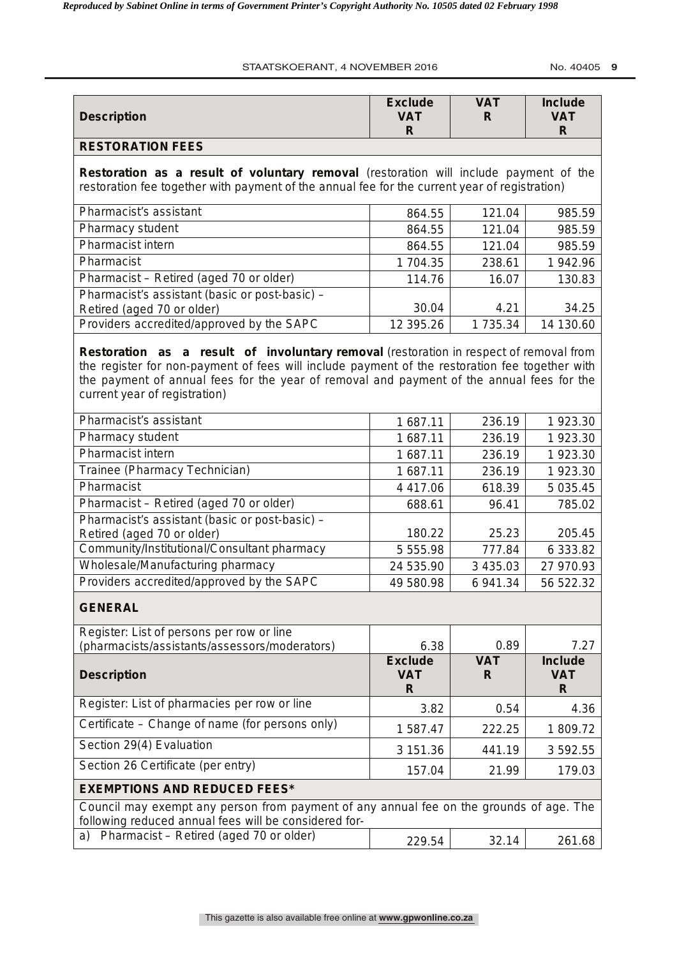#### STAATSKOERANT, 4 NOVEMBER 2016 No. 40405 9

| <b>Description</b>                                                                                                                                                                                                                                                                                                     | <b>Exclude</b><br><b>VAT</b><br>R | <b>VAT</b><br>R  | <b>Include</b><br><b>VAT</b><br>R            |
|------------------------------------------------------------------------------------------------------------------------------------------------------------------------------------------------------------------------------------------------------------------------------------------------------------------------|-----------------------------------|------------------|----------------------------------------------|
| <b>RESTORATION FEES</b>                                                                                                                                                                                                                                                                                                |                                   |                  |                                              |
| Restoration as a result of voluntary removal (restoration will include payment of the<br>restoration fee together with payment of the annual fee for the current year of registration)                                                                                                                                 |                                   |                  |                                              |
| Pharmacist's assistant                                                                                                                                                                                                                                                                                                 | 864.55                            | 121.04           | 985.59                                       |
| Pharmacy student                                                                                                                                                                                                                                                                                                       | 864.55                            | 121.04           | 985.59                                       |
| Pharmacist intern                                                                                                                                                                                                                                                                                                      | 864.55                            | 121.04           | 985.59                                       |
| Pharmacist                                                                                                                                                                                                                                                                                                             | 1704.35                           | 238.61           | 1 942.96                                     |
| Pharmacist - Retired (aged 70 or older)                                                                                                                                                                                                                                                                                | 114.76                            | 16.07            | 130.83                                       |
| Pharmacist's assistant (basic or post-basic) -<br>Retired (aged 70 or older)                                                                                                                                                                                                                                           | 30.04                             | 4.21             | 34.25                                        |
| Providers accredited/approved by the SAPC                                                                                                                                                                                                                                                                              | 12 395.26                         | 1 735.34         | 14 130.60                                    |
| Restoration as a result of involuntary removal (restoration in respect of removal from<br>the register for non-payment of fees will include payment of the restoration fee together with<br>the payment of annual fees for the year of removal and payment of the annual fees for the<br>current year of registration) |                                   |                  |                                              |
| Pharmacist's assistant                                                                                                                                                                                                                                                                                                 | 1 687.11                          | 236.19           | 1 923.30                                     |
| Pharmacy student                                                                                                                                                                                                                                                                                                       | 1 687.11                          | 236.19           | 1 923.30                                     |
| <b>Pharmacist intern</b>                                                                                                                                                                                                                                                                                               | 1 687.11                          | 236.19           | 1 923.30                                     |
| Trainee (Pharmacy Technician)                                                                                                                                                                                                                                                                                          | 1 687.11                          | 236.19           | 1 923.30                                     |
| Pharmacist                                                                                                                                                                                                                                                                                                             | 4 4 1 7 . 0 6                     | 618.39           | 5 0 3 5.45                                   |
| Pharmacist - Retired (aged 70 or older)                                                                                                                                                                                                                                                                                | 688.61                            | 96.41            | 785.02                                       |
| Pharmacist's assistant (basic or post-basic) -<br>Retired (aged 70 or older)                                                                                                                                                                                                                                           | 180.22                            | 25.23            | 205.45                                       |
| Community/Institutional/Consultant pharmacy                                                                                                                                                                                                                                                                            | 5 555.98                          | 777.84           | 6 333.82                                     |
| Wholesale/Manufacturing pharmacy                                                                                                                                                                                                                                                                                       | 24 535.90                         | 3 435.03         | 27 970.93                                    |
| Providers accredited/approved by the SAPC                                                                                                                                                                                                                                                                              | 49 580.98                         | 6 941.34         | 56 522.32                                    |
| <b>GENERAL</b>                                                                                                                                                                                                                                                                                                         |                                   |                  |                                              |
| Register: List of persons per row or line<br>(pharmacists/assistants/assessors/moderators)                                                                                                                                                                                                                             | 6.38                              | 0.89             | 7.27                                         |
| <b>Description</b>                                                                                                                                                                                                                                                                                                     | <b>Exclude</b><br><b>VAT</b><br>R | <b>VAT</b><br>R. | <b>Include</b><br><b>VAT</b><br>$\mathsf{R}$ |
| Register: List of pharmacies per row or line                                                                                                                                                                                                                                                                           | 3.82                              | 0.54             | 4.36                                         |
| Certificate – Change of name (for persons only)                                                                                                                                                                                                                                                                        | 1 587.47                          | 222.25           | 1809.72                                      |
| Section 29(4) Evaluation                                                                                                                                                                                                                                                                                               | 3 151.36                          | 441.19           | 3 592.55                                     |
| Section 26 Certificate (per entry)                                                                                                                                                                                                                                                                                     | 157.04                            | 21.99            | 179.03                                       |
| <b>EXEMPTIONS AND REDUCED FEES*</b>                                                                                                                                                                                                                                                                                    |                                   |                  |                                              |
| Council may exempt any person from payment of any annual fee on the grounds of age. The<br>following reduced annual fees will be considered for-                                                                                                                                                                       |                                   |                  |                                              |
| Pharmacist – Retired (aged 70 or older)<br>a)                                                                                                                                                                                                                                                                          | 229.54                            | 32.14            | 261.68                                       |